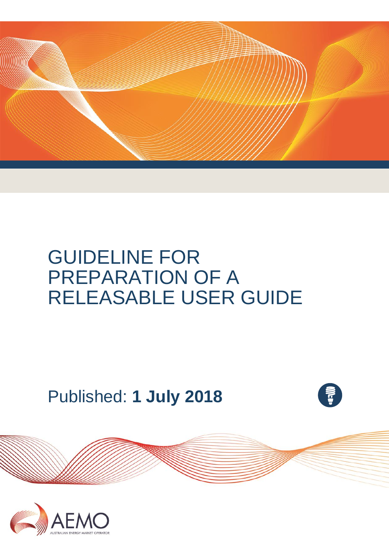

# GUIDELINE FOR PREPARATION OF A RELEASABLE USER GUIDE

Published: **1 July 2018**



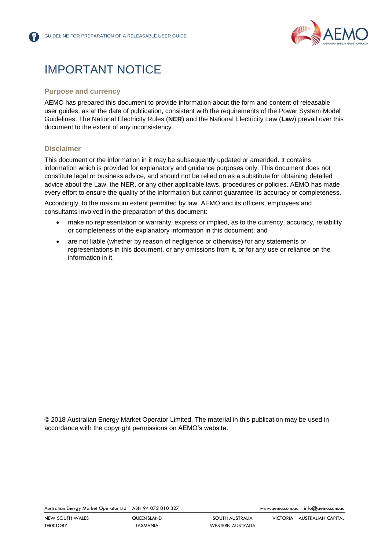

# IMPORTANT NOTICE

#### **Purpose and currency**

AEMO has prepared this document to provide information about the form and content of releasable user guides, as at the date of publication, consistent with the requirements of the Power System Model Guidelines. The National Electricity Rules (**NER**) and the National Electricity Law (**Law**) prevail over this document to the extent of any inconsistency.

#### **Disclaimer**

This document or the information in it may be subsequently updated or amended. It contains information which is provided for explanatory and guidance purposes only. This document does not constitute legal or business advice, and should not be relied on as a substitute for obtaining detailed advice about the Law, the NER, or any other applicable laws, procedures or policies. AEMO has made every effort to ensure the quality of the information but cannot guarantee its accuracy or completeness.

Accordingly, to the maximum extent permitted by law, AEMO and its officers, employees and consultants involved in the preparation of this document:

- make no representation or warranty, express or implied, as to the currency, accuracy, reliability or completeness of the explanatory information in this document; and
- are not liable (whether by reason of negligence or otherwise) for any statements or representations in this document, or any omissions from it, or for any use or reliance on the information in it.

© 2018 Australian Energy Market Operator Limited. The material in this publication may be used in accordance with the [copyright permissions on AEMO's website.](http://aemo.com.au/Privacy_and_Legal_Notices/Copyright_Permissions_Notice)

Australian Energy Market Operator Ltd ABN 94 072 010 327 [www.aemo.com.au](http://www.aemo.com.au/) [info@aemo.com.au](mailto:info@aemo.com.au)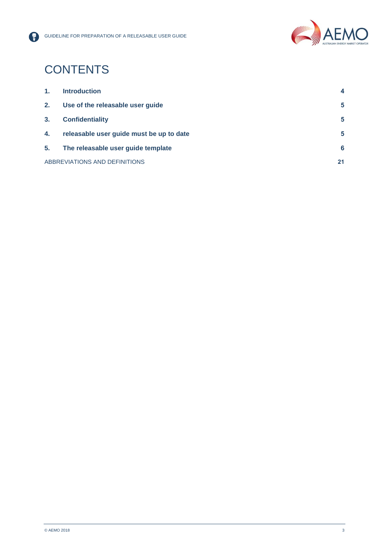

# **CONTENTS**

| 1.             | <b>Introduction</b>                      | 4  |
|----------------|------------------------------------------|----|
| 2.             | Use of the releasable user guide         | 5  |
| 3 <sub>1</sub> | <b>Confidentiality</b>                   | 5  |
| 4.             | releasable user guide must be up to date | 5  |
| 5.             | The releasable user guide template       | 6  |
|                | ABBREVIATIONS AND DEFINITIONS            | 21 |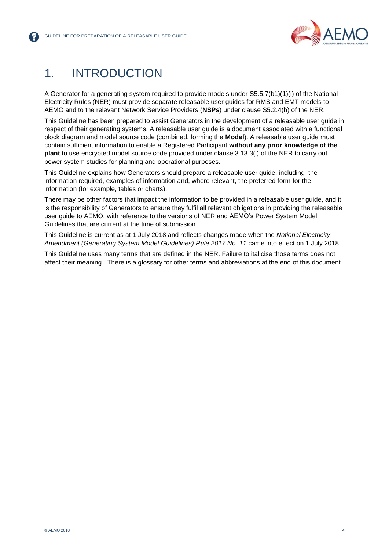

# <span id="page-3-0"></span>1. INTRODUCTION

A Generator for a generating system required to provide models under S5.5.7(b1)(1)(i) of the National Electricity Rules (NER) must provide separate releasable user guides for RMS and EMT models to AEMO and to the relevant Network Service Providers (**NSPs**) under clause S5.2.4(b) of the NER.

This Guideline has been prepared to assist Generators in the development of a releasable user guide in respect of their generating systems. A releasable user guide is a document associated with a functional block diagram and model source code (combined, forming the **Model**). A releasable user guide must contain sufficient information to enable a Registered Participant **without any prior knowledge of the plant** to use encrypted model source code provided under clause 3.13.3(l) of the NER to carry out power system studies for planning and operational purposes.

This Guideline explains how Generators should prepare a releasable user guide, including the information required, examples of information and, where relevant, the preferred form for the information (for example, tables or charts).

There may be other factors that impact the information to be provided in a releasable user guide, and it is the responsibility of Generators to ensure they fulfil all relevant obligations in providing the releasable user guide to AEMO, with reference to the versions of NER and AEMO's Power System Model Guidelines that are current at the time of submission.

This Guideline is current as at 1 July 2018 and reflects changes made when the *National Electricity Amendment (Generating System Model Guidelines) Rule 2017 No. 11* came into effect on 1 July 2018.

This Guideline uses many terms that are defined in the NER. Failure to italicise those terms does not affect their meaning. There is a glossary for other terms and abbreviations at the end of this document.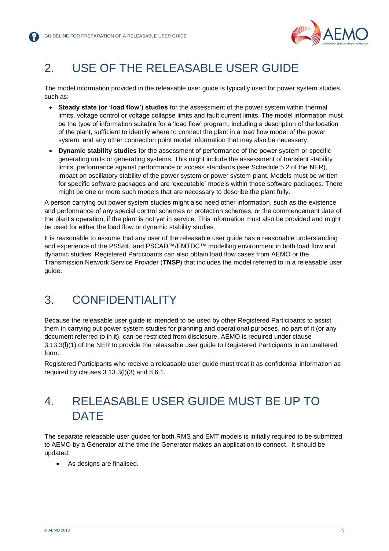

# <span id="page-4-0"></span>2. USE OF THE RELEASABLE USER GUIDE

The model information provided in the releasable user guide is typically used for power system studies such as:

- **Steady state (or 'load flow') studies** for the assessment of the power system within thermal limits, voltage control or voltage collapse limits and fault current limits. The model information must be the type of information suitable for a 'load flow' program, including a description of the location of the plant, sufficient to identify where to connect the plant in a load flow model of the power system, and any other connection point model information that may also be necessary.
- **Dynamic stability studies** for the assessment of performance of the power system or specific generating units or generating systems. This might include the assessment of transient stability limits, performance against performance or access standards (see Schedule 5.2 of the NER), impact on oscillatory stability of the power system or power system plant. Models must be written for specific software packages and are 'executable' models within those software packages. There might be one or more such models that are necessary to describe the plant fully.

A person carrying out power system studies might also need other information, such as the existence and performance of any special control schemes or protection schemes, or the commencement date of the plant's operation, if the plant is not yet in service. This information must also be provided and might be used for either the load flow or dynamic stability studies.

It is reasonable to assume that any user of the releasable user guide has a reasonable understanding and experience of the PSS®E and PSCAD™/EMTDC™ modelling environment in both load flow and dynamic studies. Registered Participants can also obtain load flow cases from AEMO or the Transmission Network Service Provider (**TNSP**) that includes the model referred to in a releasable user guide.

# <span id="page-4-1"></span>3. CONFIDENTIALITY

Because the releasable user guide is intended to be used by other Registered Participants to assist them in carrying out power system studies for planning and operational purposes, no part of it (or any document referred to in it), can be restricted from disclosure. AEMO is required under clause 3.13.3(l)(1) of the NER to provide the releasable user guide to Registered Participants in an unaltered form.

Registered Participants who receive a releasable user guide must treat it as confidential information as required by clauses 3.13.3(l)(3) and 8.6.1.

# <span id="page-4-2"></span>4. RELEASABLE USER GUIDE MUST BE UP TO **DATE**

The separate releasable user guides for both RMS and EMT models is initially required to be submitted to AEMO by a Generator at the time the Generator makes an application to connect. It should be updated:

As designs are finalised.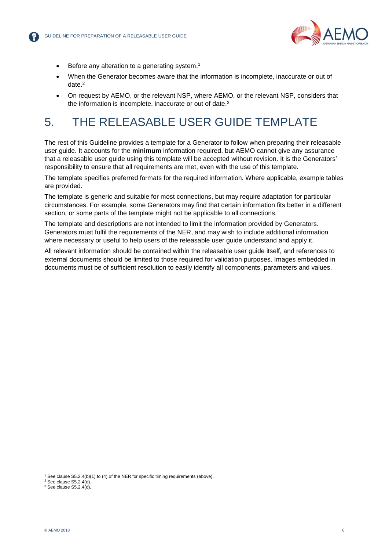

- Before any alteration to a generating system.<sup>1</sup>
- When the Generator becomes aware that the information is incomplete, inaccurate or out of date. 2
- On request by AEMO, or the relevant NSP, where AEMO, or the relevant NSP, considers that the information is incomplete, inaccurate or out of date.<sup>3</sup>

# <span id="page-5-0"></span>5. THE RELEASABLE USER GUIDE TEMPLATE

The rest of this Guideline provides a template for a Generator to follow when preparing their releasable user guide. It accounts for the **minimum** information required, but AEMO cannot give any assurance that a releasable user guide using this template will be accepted without revision. It is the Generators' responsibility to ensure that all requirements are met, even with the use of this template.

The template specifies preferred formats for the required information. Where applicable, example tables are provided.

The template is generic and suitable for most connections, but may require adaptation for particular circumstances. For example, some Generators may find that certain information fits better in a different section, or some parts of the template might not be applicable to all connections.

The template and descriptions are not intended to limit the information provided by Generators. Generators must fulfil the requirements of the NER, and may wish to include additional information where necessary or useful to help users of the releasable user guide understand and apply it.

All relevant information should be contained within the releasable user guide itself, and references to external documents should be limited to those required for validation purposes. Images embedded in documents must be of sufficient resolution to easily identify all components, parameters and values.

l

<sup>&</sup>lt;sup>1</sup> See clause S5.2.4(b)(1) to (4) of the NER for specific timing requirements (above).

 $2$  See clause S5.2.4(d).

 $3$  See clause S5.2.4(d),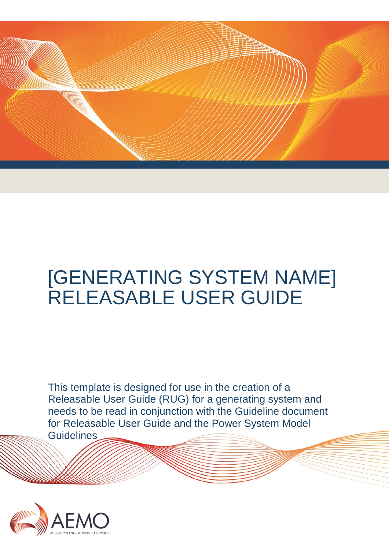

# [GENERATING SYSTEM NAME] RELEASABLE USER GUIDE

This template is designed for use in the creation of a Releasable User Guide (RUG) for a generating system and needs to be read in conjunction with the Guideline document for Releasable User Guide and the Power System Model **Guidelines** 

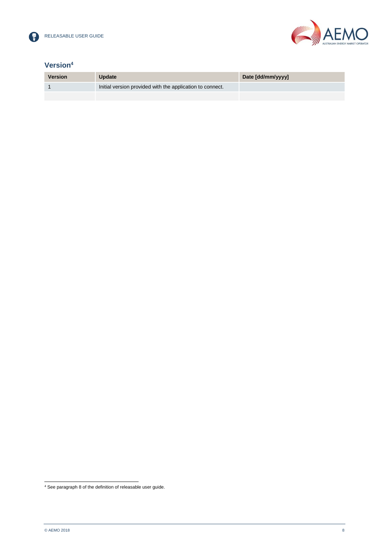



# **Version<sup>4</sup>**

| <b>Version</b> | <b>Update</b>                                             | Date [dd/mm/yyyy] |
|----------------|-----------------------------------------------------------|-------------------|
|                | Initial version provided with the application to connect. |                   |
|                |                                                           |                   |

l <sup>4</sup> See paragraph 8 of the definition of releasable user guide.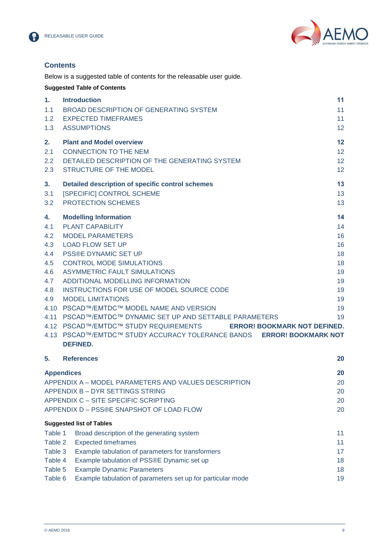



# **Contents**

Below is a suggested table of contents for the releasable user guide.

|                                                                   | <b>Suggested Table of Contents</b>                                                                                                                                                                                                                                                                                                                                                                                                                                                                                                                                                                                        |                                                                      |
|-------------------------------------------------------------------|---------------------------------------------------------------------------------------------------------------------------------------------------------------------------------------------------------------------------------------------------------------------------------------------------------------------------------------------------------------------------------------------------------------------------------------------------------------------------------------------------------------------------------------------------------------------------------------------------------------------------|----------------------------------------------------------------------|
| 1.<br>1.1<br>1.2<br>1.3                                           | <b>Introduction</b><br>BROAD DESCRIPTION OF GENERATING SYSTEM<br><b>EXPECTED TIMEFRAMES</b><br><b>ASSUMPTIONS</b>                                                                                                                                                                                                                                                                                                                                                                                                                                                                                                         | 11<br>11<br>11<br>12                                                 |
| 2.<br>2.1<br>2.2<br>2.3                                           | <b>Plant and Model overview</b><br><b>CONNECTION TO THE NEM</b><br>DETAILED DESCRIPTION OF THE GENERATING SYSTEM<br>STRUCTURE OF THE MODEL                                                                                                                                                                                                                                                                                                                                                                                                                                                                                | 12<br>12<br>12<br>12                                                 |
| 3.<br>3.1<br>3.2                                                  | Detailed description of specific control schemes<br>[SPECIFIC] CONTROL SCHEME<br>PROTECTION SCHEMES                                                                                                                                                                                                                                                                                                                                                                                                                                                                                                                       | 13<br>13<br>13                                                       |
| 4.<br>4.1<br>4.2<br>4.3<br>4.4<br>4.5<br>4.6<br>4.7<br>4.8<br>4.9 | <b>Modelling Information</b><br><b>PLANT CAPABILITY</b><br><b>MODEL PARAMETERS</b><br><b>LOAD FLOW SET UP</b><br><b>PSS®E DYNAMIC SET UP</b><br><b>CONTROL MODE SIMULATIONS</b><br><b>ASYMMETRIC FAULT SIMULATIONS</b><br>ADDITIONAL MODELLING INFORMATION<br>INSTRUCTIONS FOR USE OF MODEL SOURCE CODE<br><b>MODEL LIMITATIONS</b><br>4.10 PSCAD™/EMTDC™ MODEL NAME AND VERSION<br>4.11 PSCAD™/EMTDC™ DYNAMIC SET UP AND SETTABLE PARAMETERS<br>4.12 PSCAD™/EMTDC™ STUDY REQUIREMENTS<br><b>ERROR! BOOKMARK NOT DEFINED.</b><br>4.13 PSCAD™/EMTDC™ STUDY ACCURACY TOLERANCE BANDS ERROR! BOOKMARK NOT<br><b>DEFINED.</b> | 14<br>14<br>16<br>16<br>18<br>18<br>19<br>19<br>19<br>19<br>19<br>19 |
| 5.                                                                | <b>References</b>                                                                                                                                                                                                                                                                                                                                                                                                                                                                                                                                                                                                         | 20                                                                   |
|                                                                   | <b>Appendices</b><br>APPENDIX A - MODEL PARAMETERS AND VALUES DESCRIPTION<br>APPENDIX B - DYR SETTINGS STRING<br>APPENDIX C - SITE SPECIFIC SCRIPTING<br>APPENDIX D - PSS®E SNAPSHOT OF LOAD FLOW                                                                                                                                                                                                                                                                                                                                                                                                                         | 20<br>20<br>20<br>20<br>20                                           |
|                                                                   | <b>Suggested list of Tables</b>                                                                                                                                                                                                                                                                                                                                                                                                                                                                                                                                                                                           |                                                                      |
| Table 1<br>Table 2<br>Table 3<br>Table 4<br>Table 5<br>Table 6    | Broad description of the generating system<br><b>Expected timeframes</b><br>Example tabulation of parameters for transformers<br>Example tabulation of PSS®E Dynamic set up<br><b>Example Dynamic Parameters</b><br>Example tabulation of parameters set up for particular mode                                                                                                                                                                                                                                                                                                                                           | 11<br>11<br>17<br>18<br>18<br>19                                     |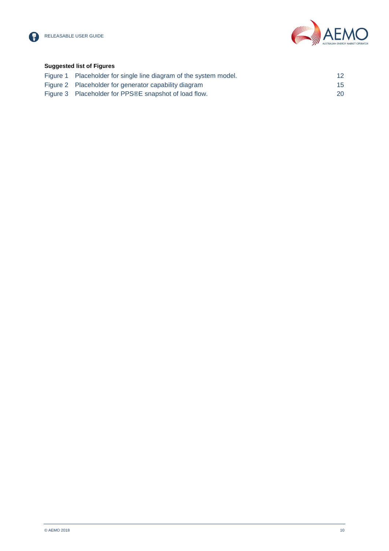



### **Suggested list of Figures**

| Figure 1 Placeholder for single line diagram of the system model. | 12 <sup>2</sup> |
|-------------------------------------------------------------------|-----------------|
| Figure 2 Placeholder for generator capability diagram             | 15 <sup>1</sup> |
| Figure 3 Placeholder for PPS®E snapshot of load flow.             | <b>20</b>       |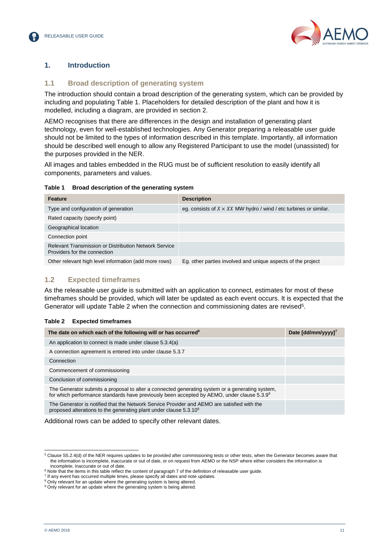



# <span id="page-10-1"></span><span id="page-10-0"></span>**1. Introduction**

### **1.1 Broad description of generating system**

The introduction should contain a broad description of the generating system, which can be provided by including and populating [Table 1.](#page-10-3) Placeholders for detailed description of the plant and how it is modelled, including a diagram, are provided in section 2.

AEMO recognises that there are differences in the design and installation of generating plant technology, even for well-established technologies. Any Generator preparing a releasable user guide should not be limited to the types of information described in this template. Importantly, all information should be described well enough to allow any Registered Participant to use the model (unassisted) for the purposes provided in the NER.

All images and tables embedded in the RUG must be of sufficient resolution to easily identify all components, parameters and values.

<span id="page-10-3"></span>

| Table 1 Broad description of the generating system |  |
|----------------------------------------------------|--|
|                                                    |  |

| <b>Feature</b>                                                                        | <b>Description</b>                                                       |
|---------------------------------------------------------------------------------------|--------------------------------------------------------------------------|
| Type and configuration of generation                                                  | eg. consists of $X \times XX$ MW hydro / wind / etc turbines or similar. |
| Rated capacity (specify point)                                                        |                                                                          |
| Geographical location                                                                 |                                                                          |
| Connection point                                                                      |                                                                          |
| Relevant Transmission or Distribution Network Service<br>Providers for the connection |                                                                          |
| Other relevant high level information (add more rows)                                 | Eg. other parties involved and unique aspects of the project             |

# <span id="page-10-2"></span>**1.2 Expected timeframes**

As the releasable user guide is submitted with an application to connect, estimates for most of these timeframes should be provided, which will later be updated as each event occurs. It is expected that the Generator will update [Table 2](#page-10-4) when the connection and commissioning dates are revised<sup>5</sup>.

#### <span id="page-10-4"></span>**Table 2 Expected timeframes**

| The date on which each of the following will or has occurred <sup>6</sup>                                                                                                                     | Date [dd/mm/yyyy] <sup>7</sup> |
|-----------------------------------------------------------------------------------------------------------------------------------------------------------------------------------------------|--------------------------------|
| An application to connect is made under clause 5.3.4(a)                                                                                                                                       |                                |
| A connection agreement is entered into under clause 5.3.7                                                                                                                                     |                                |
| Connection                                                                                                                                                                                    |                                |
| Commencement of commissioning                                                                                                                                                                 |                                |
| Conclusion of commissioning                                                                                                                                                                   |                                |
| The Generator submits a proposal to alter a connected generating system or a generating system,<br>for which performance standards have previously been accepted by AEMO, under clause 5.3.98 |                                |
| The Generator is notified that the Network Service Provider and AEMO are satisfied with the<br>proposed alterations to the generating plant under clause $5.3.109$                            |                                |

Additional rows can be added to specify other relevant dates.

l

<sup>5</sup> Clause S5.2.4(d) of the NER requires updates to be provided after commissioning tests or other tests, when the Generator becomes aware that the information is incomplete, inaccurate or out of date, or on request from AEMO or the NSP where either considers the information is incomplete, inaccurate or out of date.

<sup>&</sup>lt;sup>6</sup> Note that the items in this table reflect the content of paragraph 7 of the definition of releasable user guide.

 $<sup>7</sup>$  If any event has occurred multiple times, please specify all dates and note updates.</sup>

<sup>&</sup>lt;sup>8</sup> Only relevant for an update where the generating system is being altered.

<sup>&</sup>lt;sup>9</sup> Only relevant for an update where the generating system is being altered.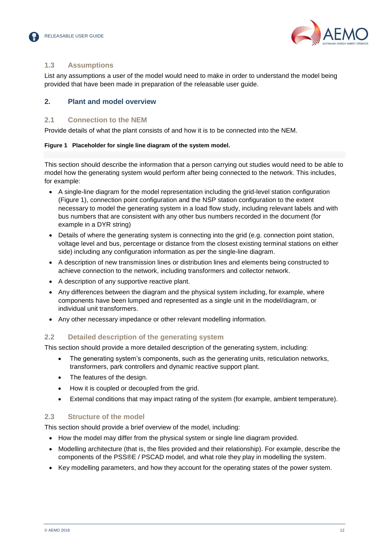



# <span id="page-11-0"></span>**1.3 Assumptions**

List any assumptions a user of the model would need to make in order to understand the model being provided that have been made in preparation of the releasable user guide.

# <span id="page-11-2"></span><span id="page-11-1"></span>**2. Plant and model overview**

### **2.1 Connection to the NEM**

Provide details of what the plant consists of and how it is to be connected into the NEM.

#### <span id="page-11-5"></span>**Figure 1 Placeholder for single line diagram of the system model.**

This section should describe the information that a person carrying out studies would need to be able to model how the generating system would perform after being connected to the network. This includes, for example:

- A single-line diagram for the model representation including the grid-level station configuration [\(Figure 1\)](#page-11-5), connection point configuration and the NSP station configuration to the extent necessary to model the generating system in a load flow study, including relevant labels and with bus numbers that are consistent with any other bus numbers recorded in the document (for example in a DYR string)
- Details of where the generating system is connecting into the grid (e.g. connection point station, voltage level and bus, percentage or distance from the closest existing terminal stations on either side) including any configuration information as per the single-line diagram.
- A description of new transmission lines or distribution lines and elements being constructed to achieve connection to the network, including transformers and collector network.
- A description of any supportive reactive plant.
- Any differences between the diagram and the physical system including, for example, where components have been lumped and represented as a single unit in the model/diagram, or individual unit transformers.
- Any other necessary impedance or other relevant modelling information.

# <span id="page-11-3"></span>**2.2 Detailed description of the generating system**

This section should provide a more detailed description of the generating system, including:

- The generating system's components, such as the generating units, reticulation networks, transformers, park controllers and dynamic reactive support plant.
- The features of the design.
- How it is coupled or decoupled from the grid.
- External conditions that may impact rating of the system (for example, ambient temperature).

# <span id="page-11-4"></span>**2.3 Structure of the model**

This section should provide a brief overview of the model, including:

- How the model may differ from the physical system or single line diagram provided.
- Modelling architecture (that is, the files provided and their relationship). For example, describe the components of the PSS®E / PSCAD model, and what role they play in modelling the system.
- Key modelling parameters, and how they account for the operating states of the power system.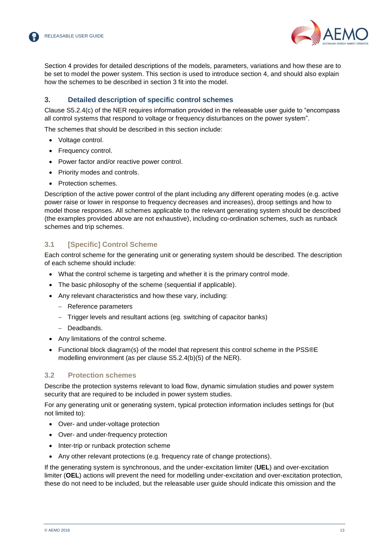

Section 4 provides for detailed descriptions of the models, parameters, variations and how these are to be set to model the power system. This section is used to introduce section 4, and should also explain how the schemes to be described in section 3 fit into the model.

# <span id="page-12-0"></span>**3. Detailed description of specific control schemes**

Clause S5.2.4(c) of the NER requires information provided in the releasable user guide to "encompass all control systems that respond to voltage or frequency disturbances on the power system".

The schemes that should be described in this section include:

- Voltage control.
- Frequency control.
- Power factor and/or reactive power control.
- Priority modes and controls.
- Protection schemes.

Description of the active power control of the plant including any different operating modes (e.g. active power raise or lower in response to frequency decreases and increases), droop settings and how to model those responses. All schemes applicable to the relevant generating system should be described (the examples provided above are not exhaustive), including co-ordination schemes, such as runback schemes and trip schemes.

### <span id="page-12-1"></span>**3.1 [Specific] Control Scheme**

Each control scheme for the generating unit or generating system should be described. The description of each scheme should include:

- What the control scheme is targeting and whether it is the primary control mode.
- The basic philosophy of the scheme (sequential if applicable).
- Any relevant characteristics and how these vary, including:
	- Reference parameters
	- Trigger levels and resultant actions (eg. switching of capacitor banks)
	- Deadbands.
- Any limitations of the control scheme.
- Functional block diagram(s) of the model that represent this control scheme in the PSS®E modelling environment (as per clause S5.2.4(b)(5) of the NER).

#### <span id="page-12-2"></span>**3.2 Protection schemes**

Describe the protection systems relevant to load flow, dynamic simulation studies and power system security that are required to be included in power system studies.

For any generating unit or generating system, typical protection information includes settings for (but not limited to):

- Over- and under-voltage protection
- Over- and under-frequency protection
- Inter-trip or runback protection scheme
- Any other relevant protections (e.g. frequency rate of change protections).

If the generating system is synchronous, and the under-excitation limiter (**UEL**) and over-excitation limiter (**OEL**) actions will prevent the need for modelling under-excitation and over-excitation protection, these do not need to be included, but the releasable user guide should indicate this omission and the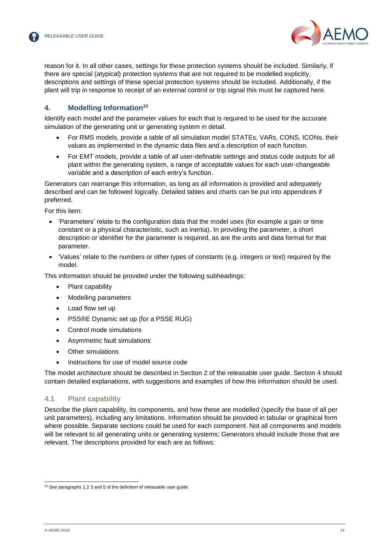

reason for it. In all other cases, settings for these protection systems should be included. Similarly, if there are special (atypical) protection systems that are not required to be modelled explicitly, descriptions and settings of these special protection systems should be included. Additionally, if the plant will trip in response to receipt of an external control or trip signal this must be captured here.

# <span id="page-13-0"></span>**4. Modelling Information<sup>10</sup>**

Identify each model and the parameter values for each that is required to be used for the accurate simulation of the generating unit or generating system in detail.

- For RMS models, provide a table of all simulation model STATEs, VARs, CONS, ICONs, their values as implemented in the dynamic data files and a description of each function.
- For EMT models, provide a table of all user-definable settings and status code outputs for all plant within the generating system, a range of acceptable values for each user-changeable variable and a description of each entry's function.

Generators can rearrange this information, as long as all information is provided and adequately described and can be followed logically. Detailed tables and charts can be put into appendices if preferred.

For this item:

- 'Parameters' relate to the configuration data that the model uses (for example a gain or time constant or a physical characteristic, such as inertia). In providing the parameter, a short description or identifier for the parameter is required, as are the units and data format for that parameter.
- 'Values' relate to the numbers or other types of constants (e.g. integers or text) required by the model.

This information should be provided under the following subheadings:

- Plant capability
- Modelling parameters
- Load flow set up
- PSS®E Dynamic set up (for a PSSE RUG)
- Control mode simulations
- Asymmetric fault simulations
- Other simulations
- Instructions for use of model source code

The model architecture should be described in Section 2 of the releasable user guide. Section 4 should contain detailed explanations, with suggestions and examples of how this information should be used.

#### <span id="page-13-1"></span>**4.1 Plant capability**

Describe the plant capability, its components, and how these are modelled (specify the base of all per unit parameters), including any limitations. Information should be provided in tabular or graphical form where possible. Separate sections could be used for each component. Not all components and models will be relevant to all generating units or generating systems; Generators should include those that are relevant. The descriptions provided for each are as follows:

l <sup>10</sup> See paragraphs 1,2 3 and 5 of the definition of releasable user guide.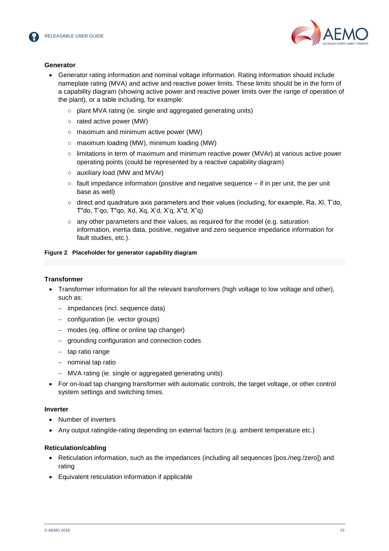



#### **Generator**

- Generator rating information and nominal voltage information. Rating information should include nameplate rating (MVA) and active and reactive power limits. These limits should be in the form of a capability diagram (showing active power and reactive power limits over the range of operation of the plant), or a table including, for example:
	- plant MVA rating (ie. single and aggregated generating units)
	- rated active power (MW)
	- maximum and minimum active power (MW)
	- maximum loading (MW), minimum loading (MW)
	- limitations in term of maximum and minimum reactive power (MVAr) at various active power operating points (could be represented by a reactive capability diagram)
	- auxiliary load (MW and MVAr)
	- $\circ$  fault impedance information (positive and negative sequence if in per unit, the per unit base as well)
	- $\circ$  direct and quadrature axis parameters and their values (including, for example, Ra, XI, T'do, T"do, T'qo, T"qo, Xd, Xq, X'd, X'q, X"d, X"q)
	- $\circ$  any other parameters and their values, as required for the model (e.g. saturation information, inertia data, positive, negative and zero sequence impedance information for fault studies, etc.).

#### <span id="page-14-0"></span>**Figure 2 Placeholder for generator capability diagram**

#### **Transformer**

- Transformer information for all the relevant transformers (high voltage to low voltage and other), such as:
	- impedances (incl. sequence data)
	- configuration (ie. vector groups)
	- modes (eg. offline or online tap changer)
	- grounding configuration and connection codes
	- tap ratio range
	- nominal tap ratio
	- MVA rating (ie. single or aggregated generating units)
- For on-load tap changing transformer with automatic controls, the target voltage, or other control system settings and switching times.

#### **Inverter**

- Number of inverters
- Any output rating/de-rating depending on external factors (e.g. ambient temperature etc.)

#### **Reticulation/cabling**

- Reticulation information, such as the impedances (including all sequences [pos./neg./zero]) and rating
- Equivalent reticulation information if applicable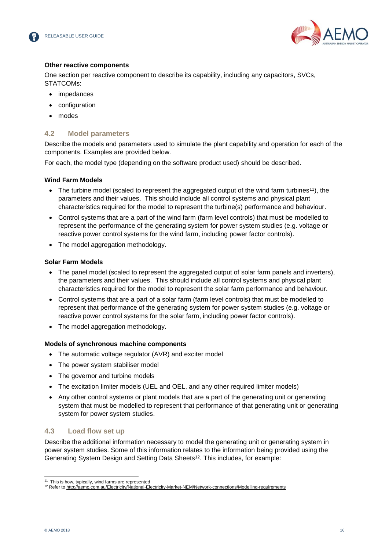



#### **Other reactive components**

One section per reactive component to describe its capability, including any capacitors, SVCs, STATCOMs:

- impedances
- configuration
- modes

# <span id="page-15-0"></span>**4.2 Model parameters**

Describe the models and parameters used to simulate the plant capability and operation for each of the components. Examples are provided below.

For each, the model type (depending on the software product used) should be described.

### **Wind Farm Models**

- The turbine model (scaled to represent the aggregated output of the wind farm turbines<sup>11</sup>), the parameters and their values. This should include all control systems and physical plant characteristics required for the model to represent the turbine(s) performance and behaviour.
- Control systems that are a part of the wind farm (farm level controls) that must be modelled to represent the performance of the generating system for power system studies (e.g. voltage or reactive power control systems for the wind farm, including power factor controls).
- The model aggregation methodology.

### **Solar Farm Models**

- The panel model (scaled to represent the aggregated output of solar farm panels and inverters), the parameters and their values. This should include all control systems and physical plant characteristics required for the model to represent the solar farm performance and behaviour.
- Control systems that are a part of a solar farm (farm level controls) that must be modelled to represent that performance of the generating system for power system studies (e.g. voltage or reactive power control systems for the solar farm, including power factor controls).
- The model aggregation methodology.

#### **Models of synchronous machine components**

- The automatic voltage regulator (AVR) and exciter model
- The power system stabiliser model
- The governor and turbine models
- The excitation limiter models (UEL and OEL, and any other required limiter models)
- Any other control systems or plant models that are a part of the generating unit or generating system that must be modelled to represent that performance of that generating unit or generating system for power system studies.

# <span id="page-15-1"></span>**4.3 Load flow set up**

Describe the additional information necessary to model the generating unit or generating system in power system studies. Some of this information relates to the information being provided using the Generating System Design and Setting Data Sheets<sup>12</sup>. This includes, for example:

l <sup>11</sup> This is how, typically, wind farms are represented

<sup>12</sup> Refer to<http://aemo.com.au/Electricity/National-Electricity-Market-NEM/Network-connections/Modelling-requirements>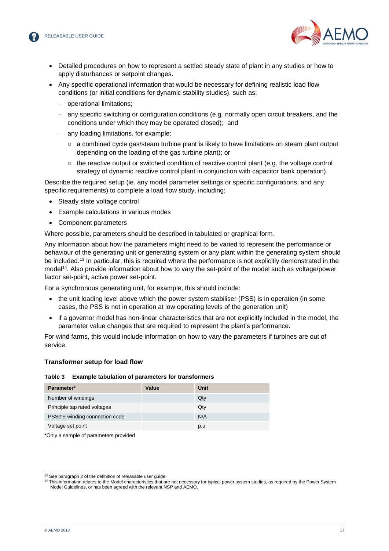

- Detailed procedures on how to represent a settled steady state of plant in any studies or how to apply disturbances or setpoint changes.
- Any specific operational information that would be necessary for defining realistic load flow conditions (or initial conditions for dynamic stability studies), such as:
	- operational limitations;
	- any specific switching or configuration conditions (e.g. normally open circuit breakers, and the conditions under which they may be operated closed); and
	- any loading limitations. for example:
		- a combined cycle gas/steam turbine plant is likely to have limitations on steam plant output depending on the loading of the gas turbine plant); or
		- $\circ$  the reactive output or switched condition of reactive control plant (e.g. the voltage control strategy of dynamic reactive control plant in conjunction with capacitor bank operation).

Describe the required setup (ie. any model parameter settings or specific configurations, and any specific requirements) to complete a load flow study, including:

- Steady state voltage control
- Example calculations in various modes
- Component parameters

Where possible, parameters should be described in tabulated or graphical form.

Any information about how the parameters might need to be varied to represent the performance or behaviour of the generating unit or generating system or any plant within the generating system should be included.<sup>13</sup> In particular, this is required where the performance is not explicitly demonstrated in the model<sup>14</sup>. Also provide information about how to vary the set-point of the model such as voltage/power factor set-point, active power set-point.

For a synchronous generating unit, for example, this should include:

- $\bullet$  the unit loading level above which the power system stabiliser (PSS) is in operation (in some cases, the PSS is not in operation at low operating levels of the generation unit)
- if a governor model has non-linear characteristics that are not explicitly included in the model, the parameter value changes that are required to represent the plant's performance.

For wind farms, this would include information on how to vary the parameters if turbines are out of service.

#### <span id="page-16-0"></span>**Transformer setup for load flow**

#### **Table 3 Example tabulation of parameters for transformers**

| Parameter*                    | Value | Unit |
|-------------------------------|-------|------|
| Number of windings            |       | Qty  |
| Principle tap rated voltages  |       | Qty  |
| PSS®E winding connection code |       | N/A  |
| Voltage set point             |       | p.u  |

\*Only a sample of parameters provided

l <sup>13</sup> See paragraph 2 of the definition of releasable user guide.

<sup>14</sup> This information relates to the Model characteristics that are not necessary for typical power system studies, as required by the Power System Model Guidelines, or has been agreed with the relevant NSP and AEMO.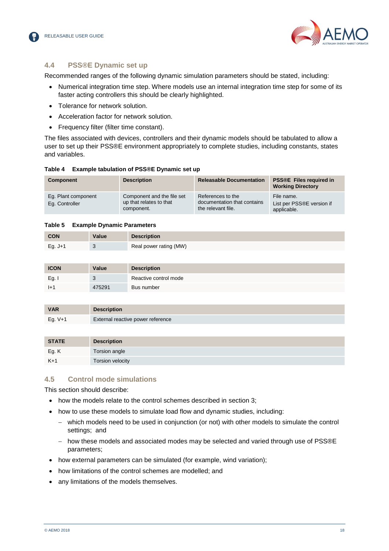



# <span id="page-17-0"></span>**4.4 PSS®E Dynamic set up**

Recommended ranges of the following dynamic simulation parameters should be stated, including:

- Numerical integration time step. Where models use an internal integration time step for some of its faster acting controllers this should be clearly highlighted.
- Tolerance for network solution.
- Acceleration factor for network solution.
- Frequency filter (filter time constant).

The files associated with devices, controllers and their dynamic models should be tabulated to allow a user to set up their PSS®E environment appropriately to complete studies, including constants, states and variables.

<span id="page-17-2"></span>

| Component                             | <b>Description</b>                                                  | <b>Releasable Documentation</b>                                        | <b>PSS®E</b> Files required in<br><b>Working Directory</b> |
|---------------------------------------|---------------------------------------------------------------------|------------------------------------------------------------------------|------------------------------------------------------------|
| Eq. Plant component<br>Eq. Controller | Component and the file set<br>up that relates to that<br>component. | References to the<br>documentation that contains<br>the relevant file. | File name.<br>List per PSS®E version if<br>applicable.     |

#### <span id="page-17-3"></span>**Table 5 Example Dynamic Parameters**

| <b>CON</b> | Value | <b>Description</b>     |
|------------|-------|------------------------|
| Eg. $J+1$  |       | Real power rating (MW) |

| <b>ICON</b> | <b>Value</b> | <b>Description</b>    |
|-------------|--------------|-----------------------|
| Eg.         | J            | Reactive control mode |
| $ +1$       | 475291       | Bus number            |

| <b>VAR</b> | <b>Description</b>                |
|------------|-----------------------------------|
| Eg. $V+1$  | External reactive power reference |

| <b>STATE</b> | <b>Description</b> |
|--------------|--------------------|
| Eg. K        | Torsion angle      |
| $K+1$        | Torsion velocity   |

# <span id="page-17-1"></span>**4.5 Control mode simulations**

This section should describe:

- how the models relate to the control schemes described in section 3;
- how to use these models to simulate load flow and dynamic studies, including:
	- which models need to be used in conjunction (or not) with other models to simulate the control settings; and
	- how these models and associated modes may be selected and varied through use of PSS®E parameters;
- how external parameters can be simulated (for example, wind variation);
- how limitations of the control schemes are modelled: and
- any limitations of the models themselves.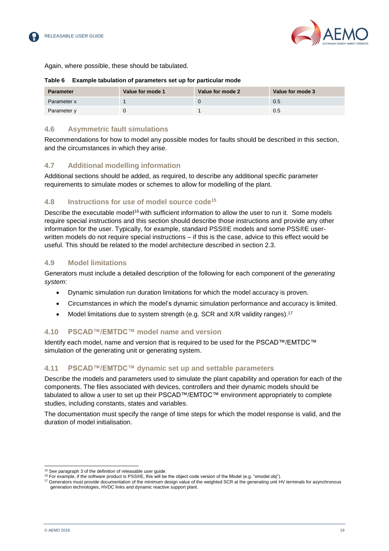



Again, where possible, these should be tabulated.

#### <span id="page-18-6"></span>**Table 6 Example tabulation of parameters set up for particular mode**

| <b>Parameter</b> | Value for mode 1 | Value for mode 2 | Value for mode 3 |
|------------------|------------------|------------------|------------------|
| Parameter x      |                  |                  | 0.5              |
| Parameter y      |                  |                  | 0.5              |

# <span id="page-18-0"></span>**4.6 Asymmetric fault simulations**

Recommendations for how to model any possible modes for faults should be described in this section, and the circumstances in which they arise.

# <span id="page-18-1"></span>**4.7 Additional modelling information**

Additional sections should be added, as required, to describe any additional specific parameter requirements to simulate modes or schemes to allow for modelling of the plant.

# <span id="page-18-2"></span>**4.8 Instructions for use of model source code<sup>15</sup>**

Describe the executable model<sup>16</sup> with sufficient information to allow the user to run it. Some models require special instructions and this section should describe those instructions and provide any other information for the user. Typically, for example, standard PSS®E models and some PSS®E userwritten models do not require special instructions – if this is the case, advice to this effect would be useful. This should be related to the model architecture described in section 2.3.

# <span id="page-18-3"></span>**4.9 Model limitations**

Generators must include a detailed description of the following for each component of the *generating system*:

- Dynamic simulation run duration limitations for which the model accuracy is proven.
- Circumstances in which the model's dynamic simulation performance and accuracy is limited.
- Model limitations due to system strength (e.g. SCR and X/R validity ranges).<sup>17</sup>

# <span id="page-18-4"></span>**4.10 PSCAD™/EMTDC™ model name and version**

Identify each model, name and version that is required to be used for the PSCAD™/EMTDC™ simulation of the generating unit or generating system.

# <span id="page-18-5"></span>**4.11 PSCAD™/EMTDC™ dynamic set up and settable parameters**

Describe the models and parameters used to simulate the plant capability and operation for each of the components. The files associated with devices, controllers and their dynamic models should be tabulated to allow a user to set up their PSCAD™/EMTDC™ environment appropriately to complete studies, including constants, states and variables.

The documentation must specify the range of time steps for which the model response is valid, and the duration of model initialisation.

l <sup>15</sup> See paragraph 3 of the definition of releasable user guide.

 $16$  For example, if the software product is PSS®E, this will be the object code version of the Model (e.g. "xmodel.obj").

 $17$  Generators must provide documentation of the minimum design value of the weighted SCR at the generating unit HV terminals for asynchronous generation technologies, HVDC links and dynamic reactive support plant.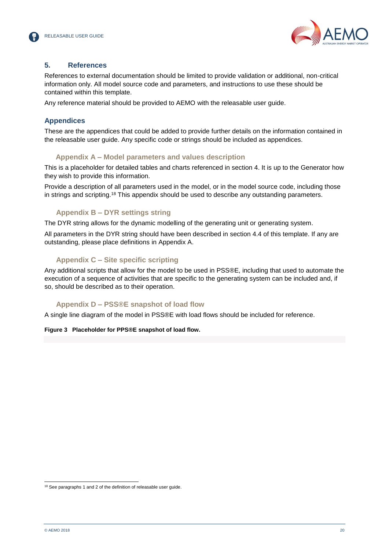



### <span id="page-19-0"></span>**5. References**

References to external documentation should be limited to provide validation or additional, non-critical information only. All model source code and parameters, and instructions to use these should be contained within this template.

Any reference material should be provided to AEMO with the releasable user guide.

# <span id="page-19-1"></span>**Appendices**

These are the appendices that could be added to provide further details on the information contained in the releasable user guide. Any specific code or strings should be included as appendices.

### <span id="page-19-2"></span>**Appendix A – Model parameters and values description**

This is a placeholder for detailed tables and charts referenced in section 4. It is up to the Generator how they wish to provide this information.

Provide a description of all parameters used in the model, or in the model source code, including those in strings and scripting.<sup>18</sup> This appendix should be used to describe any outstanding parameters.

# <span id="page-19-3"></span>**Appendix B – DYR settings string**

The DYR string allows for the dynamic modelling of the generating unit or generating system.

All parameters in the DYR string should have been described in section [4.4](#page-17-0) of this template. If any are outstanding, please place definitions in Appendix A.

# <span id="page-19-4"></span>**Appendix C – Site specific scripting**

Any additional scripts that allow for the model to be used in PSS®E, including that used to automate the execution of a sequence of activities that are specific to the generating system can be included and, if so, should be described as to their operation.

# <span id="page-19-5"></span>**Appendix D – PSS®E snapshot of load flow**

A single line diagram of the model in PSS®E with load flows should be included for reference.

#### <span id="page-19-6"></span>**Figure 3 Placeholder for PPS®E snapshot of load flow.**

l <sup>18</sup> See paragraphs 1 and 2 of the definition of releasable user guide.